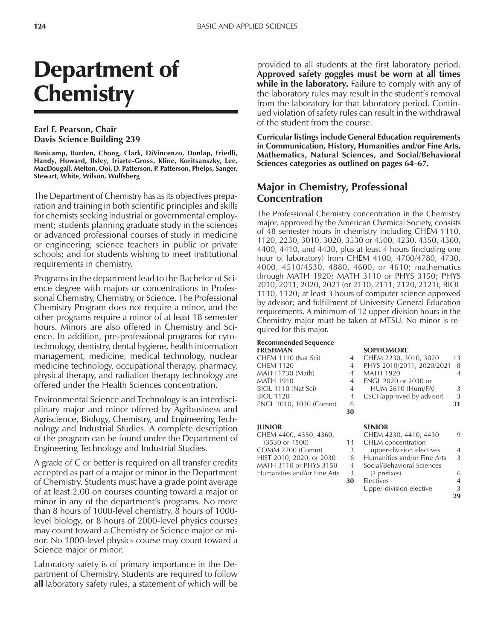# Department of **Chemistry**

#### **Earl F. Pearson, Chair Davis Science Building 239**

**Bonicamp, Burden, Chong, Clark, DiVincenzo, Dunlap, Friedli, Handy, Howard, Ilsley, Iriarte-Gross, Kline, Koritsanszky, Lee, MacDougall, Melton, Ooi, D. Patterson, P. Patterson, Phelps, Sanger, Stewart, White, Wilson, Wulfsberg**

The Department of Chemistry has as its objectives preparation and training in both scientific principles and skills for chemists seeking industrial or governmental employment; students planning graduate study in the sciences or advanced professional courses of study in medicine or engineering; science teachers in public or private schools; and for students wishing to meet institutional requirements in chemistry.

Programs in the department lead to the Bachelor of Science degree with majors or concentrations in Professional Chemistry, Chemistry, or Science. The Professional Chemistry Program does not require a minor, and the other programs require a minor of at least 18 semester hours. Minors are also offered in Chemistry and Science. In addition, pre-professional programs for cytotechnology, dentistry, dental hygiene, health information management, medicine, medical technology, nuclear medicine technology, occupational therapy, pharmacy, physical therapy, and radiation therapy technology are offered under the Health Sciences concentration.

Environmental Science and Technology is an interdisciplinary major and minor offered by Agribusiness and Agriscience, Biology, Chemistry, and Engineering Technology and Industrial Studies. A complete description of the program can be found under the Department of Engineering Technology and Industrial Studies.

A grade of C or better is required on all transfer credits accepted as part of a major or minor in the Department of Chemistry. Students must have a grade point average of at least 2.00 on courses counting toward a major or minor in any of the department's programs. No more than 8 hours of 1000-level chemistry, 8 hours of 1000 level biology, or 8 hours of 2000-level physics courses may count toward a Chemistry or Science major or minor. No 1000-level physics course may count toward a Science major or minor.

Laboratory safety is of primary importance in the Department of Chemistry. Students are required to follow **all** laboratory safety rules, a statement of which will be

provided to all students at the first laboratory period. **Approved safety goggles must be worn at all times while in the laboratory.** Failure to comply with any of the laboratory rules may result in the student's removal from the laboratory for that laboratory period. Continued violation of safety rules can result in the withdrawal of the student from the course.

**Curricular listings include General Education requirements in Communication, History, Humanities and/or Fine Arts, Mathematics, Natural Sciences, and Social/Behavioral Sciences categories as outlined on pages 64–67.** 

### **Major in Chemistry, Professional Concentration**

The Professional Chemistry concentration in the Chemistry major, approved by the American Chemical Society, consists of 48 semester hours in chemistry including CHEM 1110, 1120, 2230, 3010, 3020, 3530 or 4500, 4230, 4350, 4360, 4400, 4410, and 4430, plus at least 4 hours (including one hour of laboratory) from CHEM 4100, 4700/4780, 4730, 4000, 4510/4530, 4880, 4600, or 4610; mathematics through MATH 1920; MATH 3110 or PHYS 3150; PHYS 2010, 2011, 2020, 2021 (or 2110, 2111, 2120, 2121); BIOL 1110, 1120; at least 3 hours of computer science approved by advisor; and fulfillment of University General Education requirements. A minimum of 12 upper-division hours in the Chemistry major must be taken at MTSU. No minor is required for this major.

#### **Recommended Sequence**

|                | <b>SOPHOMORE</b>           |                |
|----------------|----------------------------|----------------|
| 4              | CHEM 2230, 3010, 3020      | 13             |
| $\overline{4}$ | PHYS 2010/2011, 2020/2021  | -8             |
| $\overline{A}$ | <b>MATH 1920</b>           | $\overline{A}$ |
| $\overline{4}$ | ENGL 2020 or 2030 or       |                |
| $\overline{4}$ | <b>HUM 2610 (Hum/FA)</b>   | 3              |
| 4              | CSCI (approved by advisor) | 3              |
| 6              |                            | 31             |
| 30             |                            |                |
|                |                            |                |

#### **JUNIOR SENIOR**

| CHEM 4400, 4350, 4360,      |                | CHEM 4230, 4410, 4430      |
|-----------------------------|----------------|----------------------------|
| $(3530 \text{ or } 4500)$   | 14             | CHEM concentration         |
| COMM 2200 (Comm)            | 3              | upper-division electives   |
| HIST 2010, 2020, or 2030    | 6              | Humanities and/or Fine Ar  |
| MATH 3110 or PHYS 3150      | $\overline{4}$ | Social/Behavioral Sciences |
| Humanities and/or Fine Arts | 3              | (2 prefixes)               |
|                             | 30             | Electives                  |

| CHEM 2230, 3010, 3020      | 13 |
|----------------------------|----|
| PHYS 2010/2011, 2020/2021  | 8  |
| <b>MATH 1920</b>           |    |
| ENGL 2020 or 2030 or       |    |
| <b>HUM 2610 (Hum/FA)</b>   | 3  |
| CSCI (approved by advisor) | 3  |
|                            | 31 |
|                            |    |

| CHEM 4400, 4350, 4360,      |    | CHEM 4230, 4410, 4430       | 9  |
|-----------------------------|----|-----------------------------|----|
| $(3530 \text{ or } 4500)$   | 14 | <b>CHEM</b> concentration   |    |
| <b>COMM 2200 (Comm)</b>     | 3  | upper-division electives    | 4  |
| HIST 2010, 2020, or 2030    | 6  | Humanities and/or Fine Arts | 3  |
| MATH 3110 or PHYS 3150      | 4  | Social/Behavioral Sciences  |    |
| Humanities and/or Fine Arts | 3  | (2 prefixes)                | 6  |
|                             | 30 | Electives                   | 4  |
|                             |    | Upper-division elective     | 3  |
|                             |    |                             | 29 |
|                             |    |                             |    |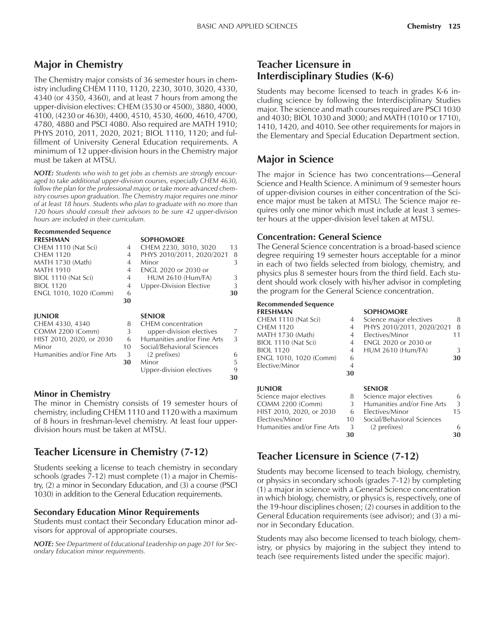# **Major in Chemistry**

The Chemistry major consists of 36 semester hours in chemistry including CHEM 1110, 1120, 2230, 3010, 3020, 4330, 4340 (or 4350, 4360), and at least 7 hours from among the upper-division electives: CHEM (3530 or 4500), 3880, 4000, 4100, (4230 or 4630), 4400, 4510, 4530, 4600, 4610, 4700, 4780, 4880 and PSCI 4080. Also required are MATH 1910; PHYS 2010, 2011, 2020, 2021; BIOL 1110, 1120; and fulfillment of University General Education requirements. A minimum of 12 upper-division hours in the Chemistry major must be taken at MTSU.

*NOTE: Students who wish to get jobs as chemists are strongly encouraged to take additional upper-division courses, especially CHEM 4630, follow the plan for the professional major, or take more advanced chemistry courses upon graduation. The Chemistry major requires one minor of at least 18 hours. Students who plan to graduate with no more than 120 hours should consult their advisors to be sure 42 upper-division hours are included in their curriculum.*

**SOPHOMORE** 

# **Recommended Sequence**

| CHEM 1110 (Nat Sci)<br>CHEM 1120<br>MATH 1730 (Math) | 4<br>4<br>4    | CHEM 2230, 3010, 3020<br>PHYS 2010/2011, 2020/2021<br>Minor | 13<br>8<br>3 |
|------------------------------------------------------|----------------|-------------------------------------------------------------|--------------|
| <b>MATH 1910</b>                                     | $\overline{4}$ | <b>ENGL 2020 or 2030 or</b>                                 |              |
| BIOL 1110 (Nat Sci)                                  | 4              | <b>HUM 2610 (Hum/FA)</b>                                    | 3            |
| <b>BIOL 1120</b>                                     | $\overline{4}$ | <b>Upper-Division Elective</b>                              | 3            |
| ENGL 1010, 1020 (Comm)                               | 6              |                                                             | 30           |
|                                                      | 30             |                                                             |              |
| <b>IUNIOR</b>                                        |                | <b>SENIOR</b>                                               |              |
| CHEM 4330, 4340                                      | 8              | <b>CHEM</b> concentration                                   |              |
| <b>COMM 2200 (Comm)</b>                              | 3              | upper-division electives                                    | 7            |
| HIST 2010, 2020, or 2030                             | 6              | Humanities and/or Fine Arts                                 | 3            |
| Minor                                                | 10             | Social/Behavioral Sciences                                  |              |
| Humanities and/or Fine Arts                          | 3              | (2 prefixes)                                                | 6            |
|                                                      | 30             | Minor                                                       | 5            |
|                                                      |                | Upper-division electives                                    | 9            |

#### **Minor in Chemistry**

The minor in Chemistry consists of 19 semester hours of chemistry, including CHEM 1110 and 1120 with a maximum of 8 hours in freshman-level chemistry. At least four upperdivision hours must be taken at MTSU.

# **Teacher Licensure in Chemistry (7-12)**

Students seeking a license to teach chemistry in secondary schools (grades 7-12) must complete (1) a major in Chemistry, (2) a minor in Secondary Education, and (3) a course (PSCI 1030) in addition to the General Education requirements.

#### **Secondary Education Minor Requirements**

Students must contact their Secondary Education minor advisors for approval of appropriate courses.

*NOTE: See Department of Educational Leadership on page 201 for Secondary Education minor requirements.*

### **Teacher Licensure in Interdisciplinary Studies (K-6)**

Students may become licensed to teach in grades K-6 including science by following the Interdisciplinary Studies major. The science and math courses required are PSCI 1030 and 4030; BIOL 1030 and 3000; and MATH (1010 or 1710), 1410, 1420, and 4010. See other requirements for majors in the Elementary and Special Education Department section.

# **Major in Science**

The major in Science has two concentrations-General Science and Health Science. A minimum of 9 semester hours of upper-division courses in either concentration of the Science major must be taken at MTSU. The Science major requires only one minor which must include at least 3 semester hours at the upper-division level taken at MTSU.

#### **Concentration: General Science**

The General Science concentration is a broad-based science degree requiring 19 semester hours acceptable for a minor in each of two fields selected from biology, chemistry, and physics plus 8 semester hours from the third field. Each student should work closely with his/her advisor in completing the program for the General Science concentration.

#### **Recommended Sequence**

**30**

| <b>FRESHMAN</b>          |                | <b>SOPHOMORE</b>            |               |
|--------------------------|----------------|-----------------------------|---------------|
| CHEM 1110 (Nat Sci)      | 4              | Science major electives     | 8             |
| <b>CHEM 1120</b>         | 4              | PHYS 2010/2011, 2020/2021   | 8             |
| MATH 1730 (Math)         | 4              | Electives/Minor             | 11            |
| BIOL 1110 (Nat Sci)      | 4              | <b>ENGL 2020 or 2030 or</b> |               |
| <b>BIOL 1120</b>         | 4              | <b>HUM 2610 (Hum/FA)</b>    | 3             |
| ENGL 1010, 1020 (Comm)   | 6              |                             | 30            |
| Elective/Minor           | $\overline{4}$ |                             |               |
|                          | 30             |                             |               |
| <b>JUNIOR</b>            |                | <b>SENIOR</b>               |               |
| Science major electives  | 8              | Science major electives     | 6             |
| <b>COMM 2200 (Comm)</b>  | 3              | Humanities and/or Fine Arts | $\mathcal{L}$ |
| HIST 2010, 2020, or 2030 | 6              | Electives/Minor             | 15            |

# **Teacher Licensure in Science (7-12)**

Electives/Minor 10 Social/Behavioral Sciences<br>
Humanities and/or Fine Arts 3 (2 prefixes) Humanities and/or Fine Arts 3 (2 prefixes) 6

Students may become licensed to teach biology, chemistry, or physics in secondary schools (grades 7-12) by completing (1) a major in science with a General Science concentration in which biology, chemistry, or physics is, respectively, one of the 19-hour disciplines chosen; (2) courses in addition to the General Education requirements (see advisor); and (3) a minor in Secondary Education.

**30 30**

Students may also become licensed to teach biology, chemistry, or physics by majoring in the subject they intend to teach (see requirements listed under the specific major).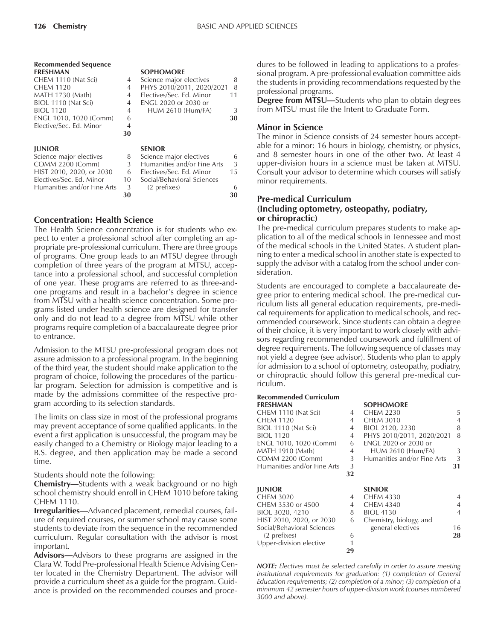| kecommenaea sequence    |                |                         |
|-------------------------|----------------|-------------------------|
| <b>FRESHMAN</b>         |                | <b>SOPHOMORE</b>        |
| CHEM 1110 (Nat Sci)     | 4              | Science major electives |
| <b>CHEM 1120</b>        | $\overline{4}$ | PHYS 2010/2011, 202     |
| MATH 1730 (Math)        | 4              | Electives/Sec. Ed. Mino |
| BIOL 1110 (Nat Sci)     | 4              | ENGL 2020 or 2030 or    |
| <b>BIOL 1120</b>        | 4              | <b>HUM 2610 (Hum/FA</b> |
| ENGL 1010, 1020 (Comm)  | 6              |                         |
| Elective/Sec. Ed. Minor |                |                         |
|                         |                |                         |

**Recommended Sequence**

#### **JUNIOR SENIOR**

Science major electives  $COMM 2200 (Comm)$ HIST 2010, 2020, or 2030 Electives/Sec. Ed. Minor Humanities and/or Fine Arts

#### **SOPHOMORE**

|                |                          | 8                                                                                          |
|----------------|--------------------------|--------------------------------------------------------------------------------------------|
|                |                          | 8                                                                                          |
| $\overline{4}$ | Electives/Sec. Ed. Minor | 11                                                                                         |
| $\overline{4}$ | ENGL 2020 or 2030 or     |                                                                                            |
|                | <b>HUM 2610 (Hum/FA)</b> | 3                                                                                          |
| 6              |                          | 30                                                                                         |
| 4              |                          |                                                                                            |
| 30             |                          |                                                                                            |
|                |                          | Science major electives<br>$\overline{4}$<br>4 PHYS 2010/2011, 2020/2021<br>$\overline{4}$ |

| 8  | Science major electives     | 6  |
|----|-----------------------------|----|
| 3  | Humanities and/or Fine Arts | 3  |
| 6  | Electives/Sec. Ed. Minor    | 15 |
| 10 | Social/Behavioral Sciences  |    |
| 3  | (2 prefixes)                | 6  |
| 30 |                             |    |

#### **Concentration: Health Science**

The Health Science concentration is for students who expect to enter a professional school after completing an appropriate pre-professional curriculum. There are three groups of programs. One group leads to an MTSU degree through completion of three years of the program at MTSU, acceptance into a professional school, and successful completion of one year. These programs are referred to as three-andone programs and result in a bachelor's degree in science from MTSU with a health science concentration. Some programs listed under health science are designed for transfer only and do not lead to a degree from MTSU while other programs require completion of a baccalaureate degree prior to entrance.

Admission to the MTSU pre-professional program does not assure admission to a professional program. In the beginning of the third year, the student should make application to the program of choice, following the procedures of the particular program. Selection for admission is competitive and is made by the admissions committee of the respective program according to its selection standards.

The limits on class size in most of the professional programs may prevent acceptance of some qualified applicants. In the event a first application is unsuccessful, the program may be easily changed to a Chemistry or Biology major leading to a B.S. degree, and then application may be made a second time.

Students should note the following:

**Chemistry**—Students with a weak background or no high school chemistry should enroll in CHEM 1010 before taking CHEM 1110.

**Irregularities**-Advanced placement, remedial courses, failure of required courses, or summer school may cause some students to deviate from the sequence in the recommended curriculum. Regular consultation with the advisor is most important.

Advisors-Advisors to these programs are assigned in the Clara W. Todd Pre-professional Health Science Advising Center located in the Chemistry Department. The advisor will provide a curriculum sheet as a guide for the program. Guidance is provided on the recommended courses and procedures to be followed in leading to applications to a professional program. A pre-professional evaluation committee aids the students in providing recommendations requested by the professional programs.

**Degree from MTSU—Students who plan to obtain degrees** from MTSU must file the Intent to Graduate Form.

#### **Minor in Science**

The minor in Science consists of 24 semester hours acceptable for a minor: 16 hours in biology, chemistry, or physics, and 8 semester hours in one of the other two. At least 4 upper-division hours in a science must be taken at MTSU. Consult your advisor to determine which courses will satisfy minor requirements.

#### **Pre-medical Curriculum (Including optometry, osteopathy, podiatry, or chiropractic)**

The pre-medical curriculum prepares students to make application to all of the medical schools in Tennessee and most of the medical schools in the United States. A student planning to enter a medical school in another state is expected to supply the advisor with a catalog from the school under consideration.

Students are encouraged to complete a baccalaureate degree prior to entering medical school. The pre-medical curriculum lists all general education requirements, pre-medical requirements for application to medical schools, and recommended coursework. Since students can obtain a degree of their choice, it is very important to work closely with advisors regarding recommended coursework and fulfillment of degree requirements. The following sequence of classes may not yield a degree (see advisor). Students who plan to apply for admission to a school of optometry, osteopathy, podiatry, or chiropractic should follow this general pre-medical curriculum.

#### **Recommended Curriculum**

|    | <b>SOPHOMORE</b>            |                |
|----|-----------------------------|----------------|
| 4  | <b>CHEM 2230</b>            | 5              |
| 4  | <b>CHEM 3010</b>            | 4              |
| 4  | BIOL 2120, 2230             | 8              |
| 4  | PHYS 2010/2011, 2020/2021   | 8              |
| 6  | ENGL 2020 or 2030 or        |                |
| 4  | <b>HUM 2610 (Hum/FA)</b>    | 3              |
| 3  | Humanities and/or Fine Arts | 3              |
| 3  |                             | 31             |
| 32 |                             |                |
|    | <b>SENIOR</b>               |                |
| 4  | CHEM 4330                   | 4              |
| 4  | <b>CHEM 4340</b>            | $\overline{4}$ |
| 8  | <b>BIOL 4130</b>            | 4              |
| 6  | Chemistry, biology, and     |                |
|    | general electives           | 16             |
| 6  |                             | 28             |
| 1  |                             |                |
| 29 |                             |                |
|    |                             |                |

*NOTE: Electives must be selected carefully in order to assure meeting institutional requirements for graduation: (1) completion of General Education requirements; (2) completion of a minor; (3) completion of a minimum 42 semester hours of upper-division work (courses numbered 3000 and above).*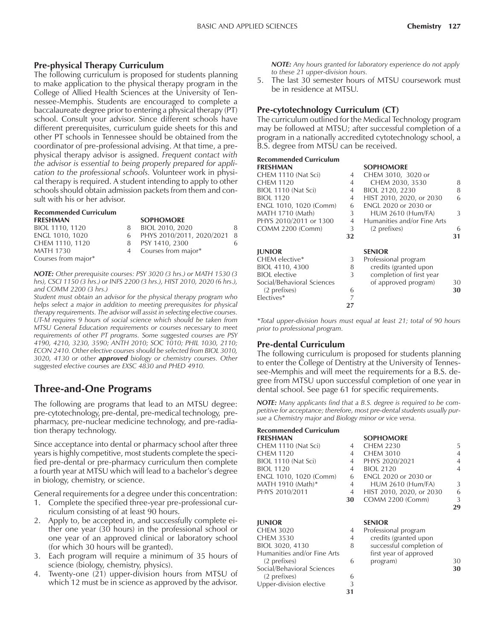#### **Pre-physical Therapy Curriculum**

The following curriculum is proposed for students planning to make application to the physical therapy program in the College of Allied Health Sciences at the University of Tennessee-Memphis. Students are encouraged to complete a baccalaureate degree prior to entering a physical therapy (PT) school. Consult your advisor. Since different schools have different prerequisites, curriculum guide sheets for this and other PT schools in Tennessee should be obtained from the coordinator of pre-professional advising. At that time, a prephysical therapy advisor is assigned. *Frequent contact with the advisor is essential to being properly prepared for application to the professional schools.* Volunteer work in physical therapy is required. A student intending to apply to other schools should obtain admission packets from them and consult with his or her advisor.

| <b>Recommended Curriculum</b> |   |                               |    |
|-------------------------------|---|-------------------------------|----|
| <b>FRESHMAN</b>               |   | <b>SOPHOMORE</b>              |    |
| BIOL 1110, 1120               | 8 | BIOL 2010, 2020               | 8  |
| ENGL 1010, 1020               |   | 6 PHYS 2010/2011, 2020/2021 8 |    |
| CHEM 1110, 1120               | 8 | PSY 1410, 2300                | 6. |
| <b>MATH 1730</b>              |   | 4 Courses from major*         |    |
| Courses from major*           |   |                               |    |

*NOTE: Other prerequisite courses: PSY 3020 (3 hrs.) or MATH 1530 (3 hrs), CSCI 1150 (3 hrs.) or INFS 2200 (3 hrs.), HIST 2010, 2020 (6 hrs.), and COMM 2200 (3 hrs.)*

*Student must obtain an advisor for the physical therapy program who helps select a major in addition to meeting prerequisites for physical therapy requirements. The advisor will assist in selecting elective courses. UT-M requires 9 hours of social science which should be taken from MTSU General Education requirements or courses necessary to meet requirements of other PT programs. Some suggested courses are PSY 4190, 4210, 3230, 3590; ANTH 2010; SOC 1010; PHIL 1030, 2110; ECON 2410. Other elective courses should be selected from BIOL 3010, 3020, 4130 or other approved biology or chemistry courses. Other suggested elective courses are EXSC 4830 and PHED 4910.*

# **Three-and-One Programs**

The following are programs that lead to an MTSU degree: pre-cytotechnology, pre-dental, pre-medical technology, prepharmacy, pre-nuclear medicine technology, and pre-radiation therapy technology.

Since acceptance into dental or pharmacy school after three years is highly competitive, most students complete the specified pre-dental or pre-pharmacy curriculum then complete a fourth year at MTSU which will lead to a bachelor's degree in biology, chemistry, or science.

General requirements for a degree under this concentration:

- 1. Complete the specified three-year pre-professional curriculum consisting of at least 90 hours.
- 2. Apply to, be accepted in, and successfully complete either one year (30 hours) in the professional school or one year of an approved clinical or laboratory school (for which 30 hours will be granted).
- 3. Each program will require a minimum of 35 hours of science (biology, chemistry, physics).
- 4. Twenty-one (21) upper-division hours from MTSU of which 12 must be in science as approved by the advisor.

*NOTE: Any hours granted for laboratory experience do not apply to these 21 upper-division hours.*

5. The last 30 semester hours of MTSU coursework must be in residence at MTSU.

#### **Pre-cytotechnology Curriculum (CT)**

The curriculum outlined for the Medical Technology program may be followed at MTSU; after successful completion of a program in a nationally accredited cytotechnology school, a B.S. degree from MTSU can be received.

#### **Recommended Curriculum**

| <b>FRESHMAN</b>            |    | <b>SOPHOMORE</b>                                  |    |
|----------------------------|----|---------------------------------------------------|----|
| CHEM 1110 (Nat Sci)        | 4  | CHEM 3010, 3020 or                                |    |
| <b>CHEM 1120</b>           | 4  | CHEM 2030, 3530                                   | 8  |
| BIOL 1110 (Nat Sci)        | 4  | BIOL 2120, 2230                                   | 8  |
| <b>BIOL 1120</b>           | 4  | HIST 2010, 2020, or 2030                          | 6  |
| ENGL 1010, 1020 (Comm)     | 6  | <b>ENGL 2020 or 2030 or</b>                       |    |
| MATH 1710 (Math)           | 3  | <b>HUM 2610 (Hum/FA)</b>                          | 3  |
| PHYS 2010/2011 or 1300     | 4  | Humanities and/or Fine Arts                       |    |
| <b>COMM 2200 (Comm)</b>    | 3  | (2 prefixes)                                      | 6  |
|                            |    |                                                   |    |
|                            | 32 |                                                   | 31 |
| <b>JUNIOR</b>              |    | <b>SENIOR</b>                                     |    |
| CHEM elective*             | 3  |                                                   |    |
| BIOL 4110, 4300            | 8  | Professional program                              |    |
| <b>BIOL</b> elective       | 3  | credits (granted upon<br>completion of first year |    |
| Social/Behavioral Sciences |    | of approved program)                              | 30 |
| (2 prefixes)               | 6  |                                                   | 30 |

*\*Total upper-division hours must equal at least 21; total of 90 hours prior to professional program.*

**27**

#### **Pre-dental Curriculum**

The following curriculum is proposed for students planning to enter the College of Dentistry at the University of Tennessee-Memphis and will meet the requirements for a B.S. degree from MTSU upon successful completion of one year in dental school. See page 61 for specific requirements.

*NOTE: Many applicants find that a B.S. degree is required to be competitive for acceptance; therefore, most pre-dental students usually pursue a Chemistry major and Biology minor or vice versa.*

| <b>Recommended Curriculum</b> |    |                             |                |
|-------------------------------|----|-----------------------------|----------------|
| <b>FRESHMAN</b>               |    | <b>SOPHOMORE</b>            |                |
| CHEM 1110 (Nat Sci)           | 4  | <b>CHEM 2230</b>            | 5.             |
| <b>CHEM 1120</b>              | 4  | <b>CHEM 3010</b>            | $\overline{4}$ |
| BIOL 1110 (Nat Sci)           | 4  | PHYS 2020/2021              | 4              |
| <b>BIOL 1120</b>              | 4  | <b>BIOL 2120</b>            | $\overline{4}$ |
| ENGL 1010, 1020 (Comm)        | 6  | <b>ENGL 2020 or 2030 or</b> |                |
| MATH 1910 (Math)*             | 4  | <b>HUM 2610 (Hum/FA)</b>    | 3              |
| PHYS 2010/2011                | 4  | HIST 2010, 2020, or 2030    | 6              |
|                               | 30 | <b>COMM 2200 (Comm)</b>     | 3              |
|                               |    |                             | 29             |
| <b>JUNIOR</b>                 |    | <b>SENIOR</b>               |                |
|                               |    |                             |                |
| <b>CHEM 3020</b>              | 4  | Professional program        |                |
| <b>CHEM 3530</b>              | 4  | credits (granted upon       |                |
| BIOL 3020, 4130               | 8  | successful completion of    |                |
| Humanities and/or Fine Arts   |    | first year of approved      |                |
| (2 prefixes)                  | 6  | program)                    | 30             |
| Social/Behavioral Sciences    |    |                             | 30             |
| (2 prefixes)                  | 6  |                             |                |
| Upper-division elective       | 3  |                             |                |
|                               | 31 |                             |                |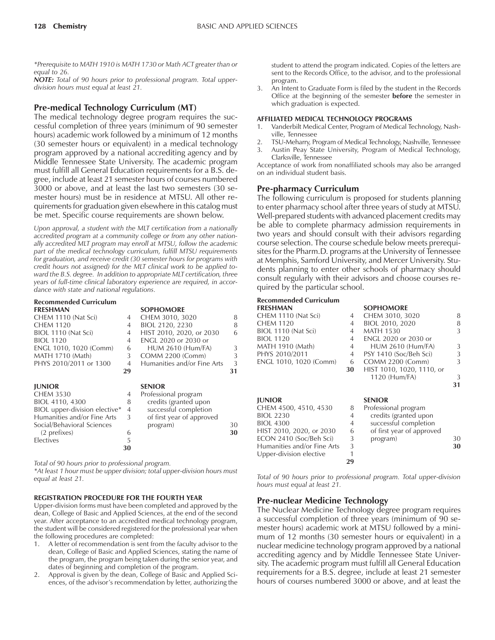*\*Prerequisite to MATH 1910 is MATH 1730 or Math ACT greater than or equal to 26.*

*NOTE: Total of 90 hours prior to professional program. Total upperdivision hours must equal at least 21.*

#### **Pre-medical Technology Curriculum (MT)**

The medical technology degree program requires the successful completion of three years (minimum of 90 semester hours) academic work followed by a minimum of 12 months (30 semester hours or equivalent) in a medical technology program approved by a national accrediting agency and by Middle Tennessee State University. The academic program must fulfill all General Education requirements for a B.S. degree, include at least 21 semester hours of courses numbered 3000 or above, and at least the last two semesters (30 semester hours) must be in residence at MTSU. All other requirements for graduation given elsewhere in this catalog must be met. Specific course requirements are shown below.

*Upon approval, a student with the MLT certification from a nationally accredited program at a community college or from any other nationally accredited MLT program may enroll at MTSU, follow the academic part of the medical technology curriculum, fulfill MTSU requirements for graduation, and receive credit (30 semester hours for programs with credit hours not assigned) for the MLT clinical work to be applied toward the B.S. degree. In addition to appropriate MLT certification, three years of full-time clinical laboratory experience are required, in accordance with state and national regulations.*

# **Recommended Curriculum**

| <b>FRESHMAN</b>               |    | <b>SOPHOMORE</b>                      |    |
|-------------------------------|----|---------------------------------------|----|
| CHEM 1110 (Nat Sci)           | 4  | CHEM 3010, 3020                       | 8  |
| <b>CHEM 1120</b>              | 4  | BIOL 2120, 2230                       | 8  |
| BIOL 1110 (Nat Sci)           | 4  | HIST 2010, 2020, or 2030              | 6  |
| <b>BIOL 1120</b>              | 4  | <b>ENGL 2020 or 2030 or</b>           |    |
| ENGL 1010, 1020 (Comm)        | 6  | <b>HUM 2610 (Hum/FA)</b>              | 3  |
| MATH 1710 (Math)              | 3  | COMM 2200 (Comm)                      | 3  |
| PHYS 2010/2011 or 1300        | 4  | Humanities and/or Fine Arts           | 3  |
|                               | 29 |                                       | 31 |
| <b>JUNIOR</b>                 |    | <b>SENIOR</b>                         |    |
| <b>CHEM 3530</b>              | 4  | Professional program                  |    |
| BIOL 4110, 4300               | 8  | credits (granted upon                 |    |
| BIOL upper-division elective* | 4  | successful completion                 |    |
|                               |    |                                       |    |
| Humanities and/or Fine Arts   | 3  |                                       |    |
| Social/Behavioral Sciences    |    | of first year of approved<br>program) | 30 |
| (2 prefixes)                  | 6  |                                       | 30 |
| Electives                     | 5  |                                       |    |

*Total of 90 hours prior to professional program.*

*\*At least 1 hour must be upper division; total upper-division hours must equal at least 21.*

#### **REGISTRATION PROCEDURE FOR THE FOURTH YEAR**

Upper-division forms must have been completed and approved by the dean, College of Basic and Applied Sciences, at the end of the second year. After acceptance to an accredited medical technology program, the student will be considered registered for the professional year when the following procedures are completed:

- 1. A letter of recommendation is sent from the faculty advisor to the dean, College of Basic and Applied Sciences, stating the name of the program, the program being taken during the senior year, and dates of beginning and completion of the program.
- 2. Approval is given by the dean, College of Basic and Applied Sciences, of the advisor's recommendation by letter, authorizing the

student to attend the program indicated. Copies of the letters are sent to the Records Office, to the advisor, and to the professional program.

3. An Intent to Graduate Form is filed by the student in the Records Office at the beginning of the semester **before** the semester in which graduation is expected.

#### **AFFILIATED MEDICAL TECHNOLOGY PROGRAMS**

- 1. Vanderbilt Medical Center, Program of Medical Technology, Nashville, Tennessee
- 2. TSU-Meharry, Program of Medical Technology, Nashville, Tennessee
- 3. Austin Peay State University, Program of Medical Technology, Clarksville, Tennessee

Acceptance of work from nonaffiliated schools may also be arranged on an individual student basis.

#### **Pre-pharmacy Curriculum**

The following curriculum is proposed for students planning to enter pharmacy school after three years of study at MTSU. Well-prepared students with advanced placement credits may be able to complete pharmacy admission requirements in two years and should consult with their advisors regarding course selection. The course schedule below meets prerequisites for the Pharm.D. programs at the University of Tennessee at Memphis, Samford University, and Mercer University. Students planning to enter other schools of pharmacy should consult regularly with their advisors and choose courses required by the particular school.

#### **Recommended Curriculum**

| <b>FRESHMAN</b>             |    | <b>SOPHOMORE</b>            |    |
|-----------------------------|----|-----------------------------|----|
| CHEM 1110 (Nat Sci)         | 4  | CHEM 3010, 3020             | 8  |
| <b>CHEM 1120</b>            | 4  | BIOL 2010, 2020             | 8  |
| BIOL 1110 (Nat Sci)         | 4  | <b>MATH 1530</b>            | 3  |
| <b>BIOL 1120</b>            | 4  | <b>ENGL 2020 or 2030 or</b> |    |
| MATH 1910 (Math)            | 4  | <b>HUM 2610 (Hum/FA)</b>    | 3  |
| PHYS 2010/2011              | 4  | PSY 1410 (Soc/Beh Sci)      | 3  |
| ENGL 1010, 1020 (Comm)      | 6  | COMM 2200 (Comm)            | 3  |
|                             | 30 | HIST 1010, 1020, 1110, or   |    |
|                             |    | 1120 (Hum/FA)               | 3  |
|                             |    |                             | 31 |
| <b>JUNIOR</b>               |    | <b>SENIOR</b>               |    |
| CHEM 4500, 4510, 4530       | 8  | Professional program        |    |
| <b>BIOL 2230</b>            | 4  | credits (granted upon       |    |
| <b>BIOL 4300</b>            | 4  | successful completion       |    |
| HIST 2010, 2020, or 2030    | 6  | of first year of approved   |    |
| ECON 2410 (Soc/Beh Sci)     | 3  | program)                    | 30 |
| Humanities and/or Fine Arts | 3  |                             | 30 |
|                             |    |                             |    |
| Upper-division elective     | 1  |                             |    |
|                             | 29 |                             |    |

*Total of 90 hours prior to professional program. Total upper-division hours must equal at least 21.*

#### **Pre-nuclear Medicine Technology**

The Nuclear Medicine Technology degree program requires a successful completion of three years (minimum of 90 semester hours) academic work at MTSU followed by a minimum of 12 months (30 semester hours or equivalent) in a nuclear medicine technology program approved by a national accrediting agency and by Middle Tennessee State University. The academic program must fulfill all General Education requirements for a B.S. degree, include at least 21 semester hours of courses numbered 3000 or above, and at least the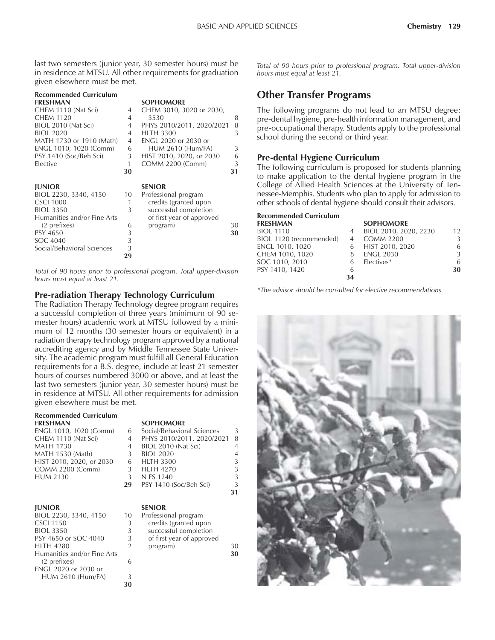last two semesters (junior year, 30 semester hours) must be in residence at MTSU. All other requirements for graduation given elsewhere must be met.

| Recommended Curriculum      |                |                             |    |
|-----------------------------|----------------|-----------------------------|----|
| FRESHMAN                    |                | <b>SOPHOMORE</b>            |    |
| CHEM 1110 (Nat Sci)         | 4              | CHEM 3010, 3020 or 2030,    |    |
| CHEM 1120                   | 4              | 3530                        | 8  |
| BIOL 2010 (Nat Sci)         | $\overline{4}$ | PHYS 2010/2011, 2020/2021   | 8  |
| BIOL 2020                   | 4              | <b>HLTH 3300</b>            | 3  |
| MATH 1730 or 1910 (Math)    | $\overline{4}$ | <b>ENGL 2020 or 2030 or</b> |    |
| ENGL 1010, 1020 (Comm)      | 6              | <b>HUM 2610 (Hum/FA)</b>    | 3  |
| PSY 1410 (Soc/Beh Sci)      | 3              | HIST 2010, 2020, or 2030    | 6  |
| Elective                    | 1              | <b>COMM 2200 (Comm)</b>     | 3  |
|                             | 30             |                             | 31 |
| <b>JUNIOR</b>               |                | <b>SENIOR</b>               |    |
| BIOL 2230, 3340, 4150       | 10             | Professional program        |    |
| <b>CSCI 1000</b>            | 1              | credits (granted upon       |    |
| BIOL 3350                   | 3              | successful completion       |    |
| Humanities and/or Fine Arts |                | of first year of approved   |    |
| (2 prefixes)                | 6              | program)                    | 30 |
| PSY 4650                    | 3              |                             | 30 |
| SOC 4040                    | 3              |                             |    |
| Social/Behavioral Sciences  | 3              |                             |    |
|                             |                |                             |    |

*Total of 90 hours prior to professional program. Total upper-division hours must equal at least 21.*

#### **Pre-radiation Therapy Technology Curriculum**

The Radiation Therapy Technology degree program requires a successful completion of three years (minimum of 90 semester hours) academic work at MTSU followed by a minimum of 12 months (30 semester hours or equivalent) in a radiation therapy technology program approved by a national accrediting agency and by Middle Tennessee State University. The academic program must fulfill all General Education requirements for a B.S. degree, include at least 21 semester hours of courses numbered 3000 or above, and at least the last two semesters (junior year, 30 semester hours) must be in residence at MTSU. All other requirements for admission given elsewhere must be met.

**30**

# **Recommended Curriculum**

**FRESHMAN SOPHOMORE**<br> **ENGL 1010, 1020 (Comm)** 6 **Social/Behavioral Sciences** ENGL 1010, 1020 (Comm) 6 Social/Behavioral Sciences 3 CHEM 1110 (Nat Sci) 4 PHYS 2010/2011, 2020/2021 8 **MATH 1730** MATH 1530 (Math)  $\begin{array}{ccc} 3 & \text{BIOL 2020} \\ \text{HIST 2010. 2020. or } 2030 & 6 & \text{HITH 3300} \end{array}$   $\begin{array}{ccc} 3 & \end{array}$ HIST 2010, 2020, or 2030 COMM 2200 (Comm) 3 HLTH 4270 3

| <b>JUNIOR</b>               |    | <b>SENIOR</b>             |    |
|-----------------------------|----|---------------------------|----|
| BIOL 2230, 3340, 4150       | 10 | Professional program      |    |
| <b>CSCI 1150</b>            | 3  | credits (granted upon     |    |
| <b>BIOL 3350</b>            | 3  | successful completion     |    |
| PSY 4650 or SOC 4040        | 3  | of first year of approved |    |
| <b>HLTH 4280</b>            | 2  | program)                  | 30 |
| Humanities and/or Fine Arts |    |                           | 30 |
| (2 prefixes)                |    |                           |    |
| ENGL 2020 or 2030 or        |    |                           |    |
| <b>HUM 2610 (Hum/FA)</b>    |    |                           |    |
|                             | 30 |                           |    |

|           | PHYS 2010/201  |  |
|-----------|----------------|--|
|           | BIOL 2010 (Nat |  |
| BIOL 2020 |                |  |

#### HUM 2130 3 N FS 1240 3<br>**29** PSY 1410 (Soc/Beh Sci) 3 **29** PSY 1410 (Soc/Beh Sci) 3

| <b>NIOR</b>               |
|---------------------------|
| ofessional program        |
| credits (granted upon     |
| successful completion     |
| of first year of approved |
| program)                  |
|                           |

**31**

*Total of 90 hours prior to professional program. Total upper-division hours must equal at least 21.*

### **Other Transfer Programs**

The following programs do not lead to an MTSU degree: pre-dental hygiene, pre-health information management, and pre-occupational therapy. Students apply to the professional school during the second or third year.

#### **Pre-dental Hygiene Curriculum**

The following curriculum is proposed for students planning to make application to the dental hygiene program in the College of Allied Health Sciences at the University of Tennessee-Memphis. Students who plan to apply for admission to other schools of dental hygiene should consult their advisors.

|                | <b>SOPHOMORE</b>      |    |
|----------------|-----------------------|----|
| 4              | BIOL 2010, 2020, 2230 | 12 |
| $\overline{4}$ | <b>COMM 2200</b>      | 3  |
|                | HIST 2010, 2020       | 6  |
| 8              | <b>ENGL 2030</b>      | 3  |
| 6              | Electives*            | 6  |
| 6              |                       | 30 |
| 34             |                       |    |
|                |                       |    |

*\*The advisor should be consulted for elective recommendations.*

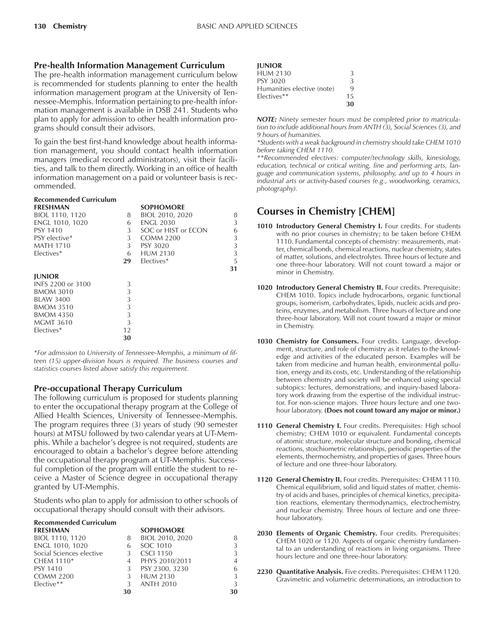#### **Pre-health Information Management Curriculum**

The pre-health information management curriculum below is recommended for students planning to enter the health information management program at the University of Tennessee-Memphis. Information pertaining to pre-health information management is available in DSB 241. Students who plan to apply for admission to other health information programs should consult their advisors.

To gain the best first-hand knowledge about health information management, you should contact health information managers (medical record administrators), visit their facilities, and talk to them directly. Working in an office of health information management on a paid or volunteer basis is recommended.

#### **Recommended Curriculum**

| <b>FRESHMAN</b>   |    | <b>SOPHOMORE</b>    |    |
|-------------------|----|---------------------|----|
| BIOL 1110, 1120   | 8  | BIOL 2010, 2020     | 8  |
| ENGL 1010, 1020   | 6  | <b>ENGL 2030</b>    | 3  |
| PSY 1410          | 3  | SOC or HIST or ECON | 6  |
| PSY elective*     | 3  | COMM 2200           | 3  |
| <b>MATH 1710</b>  | 3  | PSY 3020            | 3  |
| Flectives*        | 6  | <b>HUM 2130</b>     | 3  |
|                   | 29 | Electives*          | 5  |
|                   |    |                     | 31 |
| <b>IUNIOR</b>     |    |                     |    |
| INFS 2200 or 3100 | 3  |                     |    |
| <b>BMOM 3010</b>  | 3  |                     |    |
| <b>BLAW 3400</b>  | 3  |                     |    |
| <b>BMOM 3510</b>  | 3  |                     |    |
| <b>BMOM 4350</b>  | 3  |                     |    |
| <b>MGMT 3610</b>  | 3  |                     |    |
| Electives*        | 12 |                     |    |
|                   | 30 |                     |    |
|                   |    |                     |    |

\**For admission to University of Tennessee-Memphis, a minimum of fifteen (15) upper-division hours is required. The business courses and statistics courses listed above satisfy this requirement.*

#### **Pre-occupational Therapy Curriculum**

The following curriculum is proposed for students planning to enter the occupational therapy program at the College of Allied Health Sciences, University of Tennessee-Memphis. The program requires three (3) years of study (90 semester hours) at MTSU followed by two calendar years at UT-Memphis. While a bachelor's degree is not required, students are encouraged to obtain a bachelor's degree before attending the occupational therapy program at UT-Memphis. Successful completion of the program will entitle the student to receive a Master of Science degree in occupational therapy granted by UT-Memphis.

Students who plan to apply for admission to other schools of occupational therapy should consult with their advisors.

| <b>Recommended Curriculum</b> |    |                  |                |
|-------------------------------|----|------------------|----------------|
| <b>FRESHMAN</b>               |    | <b>SOPHOMORE</b> |                |
| BIOL 1110, 1120               | 8  | BIOL 2010, 2020  | 8              |
| ENGL 1010, 1020               | 6  | SOC 1010         | 3              |
| Social Sciences elective      |    | <b>CSCI 1150</b> | 3              |
| CHEM 1110 <sup>*</sup>        |    | PHYS 2010/2011   | $\overline{4}$ |
| <b>PSY 1410</b>               | 3  | PSY 2300, 3230   | 6              |
| <b>COMM 2200</b>              |    | <b>HUM 2130</b>  | 3              |
| Elective**                    | 3  | <b>ANTH 2010</b> | 3              |
|                               | 30 |                  | 30             |

| <b>IUNIOR</b>              |    |
|----------------------------|----|
| HUM 2130                   | 3  |
| PSY 3020                   | 3  |
| Humanities elective (note) | 9  |
| Electives**                | 15 |
|                            | 30 |

*NOTE: Ninety semester hours must be completed prior to matriculation to include additional hours from ANTH (3), Social Sciences (3), and 9 hours of humanities.*

*\*Students with a weak background in chemistry should take CHEM 1010 before taking CHEM 1110.*

*\*\*Recommended electives: computer/technology skills, kinesiology, education, technical or critical writing, fine and performing arts, language and communication systems, philosophy, and up to 4 hours in industrial arts or activity-based courses (e.g., woodworking, ceramics, photography).*

# **Courses in Chemistry [CHEM]**

- **1010 Introductory General Chemistry I.** Four credits. For students with no prior courses in chemistry; to be taken before CHEM 1110. Fundamental concepts of chemistry: measurements, matter, chemical bonds, chemical reactions, nuclear chemistry, states of matter, solutions, and electrolytes. Three hours of lecture and one three-hour laboratory. Will not count toward a major or minor in Chemistry.
- **1020 Introductory General Chemistry II.** Four credits. Prerequisite: CHEM 1010. Topics include hydrocarbons, organic functional groups, isomerism, carbohydrates, lipids, nucleic acids and proteins, enzymes, and metabolism. Three hours of lecture and one three-hour laboratory. Will not count toward a major or minor in Chemistry.
- **1030 Chemistry for Consumers.** Four credits. Language, development, structure, and role of chemistry as it relates to the knowledge and activities of the educated person. Examples will be taken from medicine and human health, environmental pollution, energy and its costs, etc. Understanding of the relationship between chemistry and society will be enhanced using special subtopics: lectures, demonstrations, and inquiry-based laboratory work drawing from the expertise of the individual instructor. For non-science majors. Three hours lecture and one twohour laboratory. **(Does not count toward any major or minor.)**
- **1110 General Chemistry I.** Four credits. Prerequisites: High school chemistry; CHEM 1010 or equivalent. Fundamental concepts of atomic structure, molecular structure and bonding, chemical reactions, stoichiometric relationships, periodic properties of the elements, thermochemistry, and properties of gases. Three hours of lecture and one three-hour laboratory.
- **1120 General Chemistry II.** Four credits. Prerequisites: CHEM 1110. Chemical equilibrium, solid and liquid states of matter, chemistry of acids and bases, principles of chemical kinetics, precipitation reactions, elementary thermodynamics, electrochemistry, and nuclear chemistry. Three hours of lecture and one threehour laboratory.
- **2030 Elements of Organic Chemistry.** Four credits. Prerequisites: CHEM 1020 or 1120. Aspects of organic chemistry fundamental to an understanding of reactions in living organisms. Three hours lecture and one three-hour laboratory.
- **2230 Quantitative Analysis.** Five credits. Prerequisites: CHEM 1120. Gravimetric and volumetric determinations, an introduction to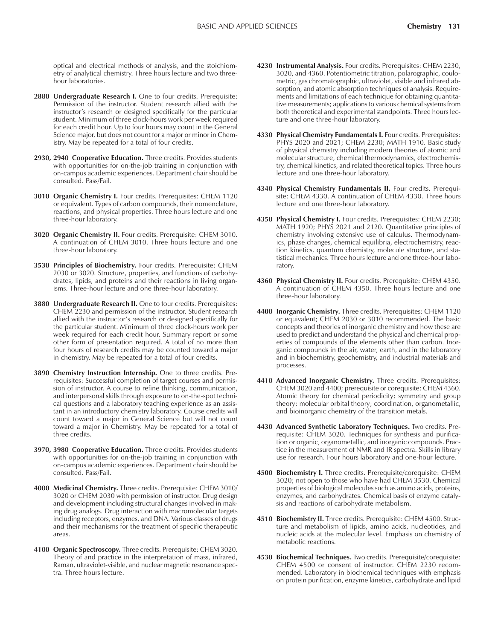optical and electrical methods of analysis, and the stoichiometry of analytical chemistry. Three hours lecture and two threehour laboratories.

- 2880 Undergraduate Research I. One to four credits. Prerequisite: Permission of the instructor. Student research allied with the instructor's research or designed specifically for the particular student. Minimum of three clock-hours work per week required for each credit hour. Up to four hours may count in the General Science major, but does not count for a major or minor in Chemistry. May be repeated for a total of four credits.
- **2930, 2940 Cooperative Education.** Three credits. Provides students with opportunities for on-the-job training in conjunction with on-campus academic experiences. Department chair should be consulted. Pass/Fail.
- **3010 Organic Chemistry I.** Four credits. Prerequisites: CHEM 1120 or equivalent. Types of carbon compounds, their nomenclature, reactions, and physical properties. Three hours lecture and one three-hour laboratory.
- **3020 Organic Chemistry II.** Four credits. Prerequisite: CHEM 3010. A continuation of CHEM 3010. Three hours lecture and one three-hour laboratory.
- **3530 Principles of Biochemistry.** Four credits. Prerequisite: CHEM 2030 or 3020. Structure, properties, and functions of carbohydrates, lipids, and proteins and their reactions in living organisms. Three-hour lecture and one three-hour laboratory.
- **3880 Undergraduate Research II.** One to four credits. Prerequisites: CHEM 2230 and permission of the instructor. Student research allied with the instructor's research or designed specifically for the particular student. Minimum of three clock-hours work per week required for each credit hour. Summary report or some other form of presentation required. A total of no more than four hours of research credits may be counted toward a major in chemistry. May be repeated for a total of four credits.
- **3890 Chemistry Instruction Internship.** One to three credits. Prerequisites: Successful completion of target courses and permission of instructor. A course to refine thinking, communication, and interpersonal skills through exposure to on-the-spot technical questions and a laboratory teaching experience as an assistant in an introductory chemistry laboratory. Course credits will count toward a major in General Science but will not count toward a major in Chemistry. May be repeated for a total of three credits.
- **3970, 3980 Cooperative Education.** Three credits. Provides students with opportunities for on-the-job training in conjunction with on-campus academic experiences. Department chair should be consulted. Pass/Fail.
- **4000 Medicinal Chemistry.** Three credits. Prerequisite: CHEM 3010/ 3020 or CHEM 2030 with permission of instructor. Drug design and development including structural changes involved in making drug analogs. Drug interaction with macromolecular targets including receptors, enzymes, and DNA. Various classes of drugs and their mechanisms for the treatment of specific therapeutic areas.
- **4100 Organic Spectroscopy.** Three credits. Prerequisite: CHEM 3020. Theory of and practice in the interpretation of mass, infrared, Raman, ultraviolet-visible, and nuclear magnetic resonance spectra. Three hours lecture.
- **4230 Instrumental Analysis.** Four credits. Prerequisites: CHEM 2230, 3020, and 4360. Potentiometric titration, polarographic, coulometric, gas chromatographic, ultraviolet, visible and infrared absorption, and atomic absorption techniques of analysis. Requirements and limitations of each technique for obtaining quantitative measurements; applications to various chemical systems from both theoretical and experimental standpoints. Three hours lecture and one three-hour laboratory.
- **4330 Physical Chemistry Fundamentals I.** Four credits. Prerequisites: PHYS 2020 and 2021; CHEM 2230; MATH 1910. Basic study of physical chemistry including modern theories of atomic and molecular structure, chemical thermodynamics, electrochemistry, chemical kinetics, and related theoretical topics. Three hours lecture and one three-hour laboratory.
- **4340 Physical Chemistry Fundamentals II.** Four credits. Prerequisite: CHEM 4330. A continuation of CHEM 4330. Three hours lecture and one three-hour laboratory.
- **4350 Physical Chemistry I.** Four credits. Prerequisites: CHEM 2230; MATH 1920; PHYS 2021 and 2120. Quantitative principles of chemistry involving extensive use of calculus. Thermodynamics, phase changes, chemical equilibria, electrochemistry, reaction kinetics, quantum chemistry, molecule structure, and statistical mechanics. Three hours lecture and one three-hour laboratory.
- **4360 Physical Chemistry II.** Four credits. Prerequisite: CHEM 4350. A continuation of CHEM 4350. Three hours lecture and one three-hour laboratory.
- **4400 Inorganic Chemistry.** Three credits. Prerequisites: CHEM 1120 or equivalent; CHEM 2030 or 3010 recommended. The basic concepts and theories of inorganic chemistry and how these are used to predict and understand the physical and chemical properties of compounds of the elements other than carbon. Inorganic compounds in the air, water, earth, and in the laboratory and in biochemistry, geochemistry, and industrial materials and processes.
- **4410 Advanced Inorganic Chemistry.** Three credits. Prerequisites: CHEM 3020 and 4400; prerequisite or corequisite: CHEM 4360. Atomic theory for chemical periodicity; symmetry and group theory; molecular orbital theory; coordination, organometallic, and bioinorganic chemistry of the transition metals.
- **4430 Advanced Synthetic Laboratory Techniques.** Two credits. Prerequisite: CHEM 3020. Techniques for synthesis and purification or organic, organometallic, and inorganic compounds. Practice in the measurement of NMR and IR spectra. Skills in library use for research. Four hours laboratory and one-hour lecture.
- **4500 Biochemistry I.** Three credits. Prerequisite/corequisite: CHEM 3020; not open to those who have had CHEM 3530. Chemical properties of biological molecules such as amino acids, proteins, enzymes, and carbohydrates. Chemical basis of enzyme catalysis and reactions of carbohydrate metabolism.
- **4510 Biochemistry II.** Three credits. Prerequisite: CHEM 4500. Structure and metabolism of lipids, amino acids, nucleotides, and nucleic acids at the molecular level. Emphasis on chemistry of metabolic reactions.
- **4530 Biochemical Techniques.** Two credits. Prerequisite/corequisite: CHEM 4500 or consent of instructor. CHEM 2230 recommended. Laboratory in biochemical techniques with emphasis on protein purification, enzyme kinetics, carbohydrate and lipid